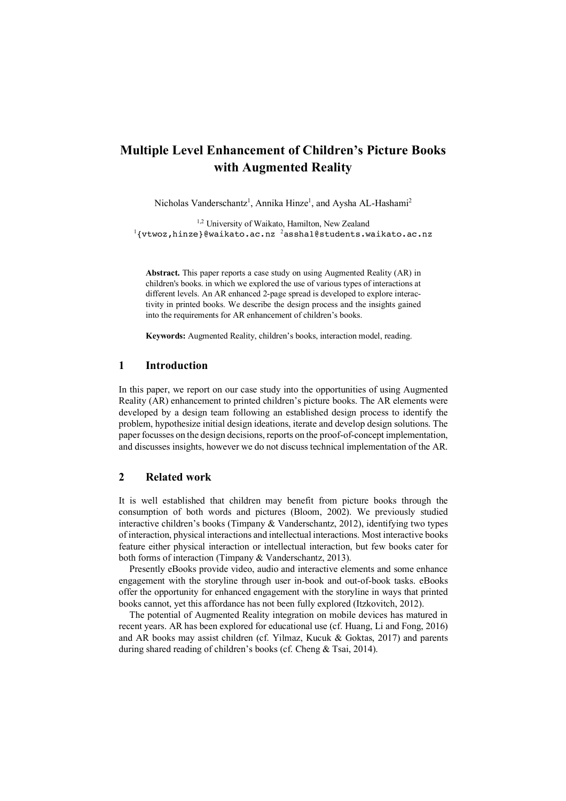# **Multiple Level Enhancement of Children's Picture Books with Augmented Reality**

Nicholas Vanderschantz<sup>1</sup>, Annika Hinze<sup>1</sup>, and Aysha AL-Hashami<sup>2</sup>

<sup>1,2</sup> University of Waikato, Hamilton, New Zealand  $1$ {vtwoz,hinze}@waikato.ac.nz  $2$ asshal@students.waikato.ac.nz

**Abstract.** This paper reports a case study on using Augmented Reality (AR) in children's books. in which we explored the use of various types of interactions at different levels. An AR enhanced 2-page spread is developed to explore interactivity in printed books. We describe the design process and the insights gained into the requirements for AR enhancement of children's books.

**Keywords:** Augmented Reality, children's books, interaction model, reading.

## **1 Introduction**

In this paper, we report on our case study into the opportunities of using Augmented Reality (AR) enhancement to printed children's picture books. The AR elements were developed by a design team following an established design process to identify the problem, hypothesize initial design ideations, iterate and develop design solutions. The paper focusses on the design decisions, reports on the proof-of-concept implementation, and discusses insights, however we do not discuss technical implementation of the AR.

## **2 Related work**

It is well established that children may benefit from picture books through the consumption of both words and pictures (Bloom, 2002). We previously studied interactive children's books (Timpany & Vanderschantz, 2012), identifying two types of interaction, physical interactions and intellectual interactions. Most interactive books feature either physical interaction or intellectual interaction, but few books cater for both forms of interaction (Timpany & Vanderschantz, 2013).

Presently eBooks provide video, audio and interactive elements and some enhance engagement with the storyline through user in-book and out-of-book tasks. eBooks offer the opportunity for enhanced engagement with the storyline in ways that printed books cannot, yet this affordance has not been fully explored (Itzkovitch, 2012).

The potential of Augmented Reality integration on mobile devices has matured in recent years. AR has been explored for educational use (cf. Huang, Li and Fong, 2016) and AR books may assist children (cf. Yilmaz, Kucuk & Goktas, 2017) and parents during shared reading of children's books (cf. Cheng & Tsai, 2014).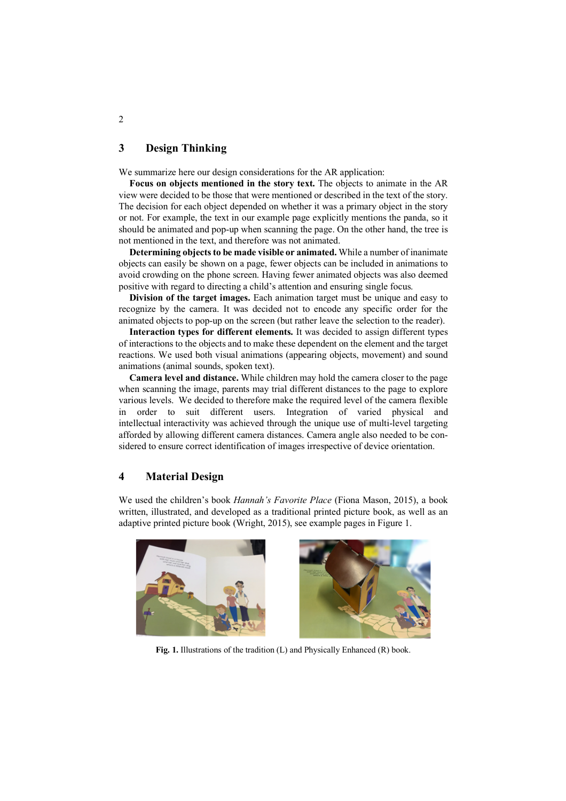# **3 Design Thinking**

We summarize here our design considerations for the AR application:

**Focus on objects mentioned in the story text.** The objects to animate in the AR view were decided to be those that were mentioned or described in the text of the story. The decision for each object depended on whether it was a primary object in the story or not. For example, the text in our example page explicitly mentions the panda, so it should be animated and pop-up when scanning the page. On the other hand, the tree is not mentioned in the text, and therefore was not animated.

**Determining objects to be made visible or animated.** While a number of inanimate objects can easily be shown on a page, fewer objects can be included in animations to avoid crowding on the phone screen. Having fewer animated objects was also deemed positive with regard to directing a child's attention and ensuring single focus.

**Division of the target images.** Each animation target must be unique and easy to recognize by the camera. It was decided not to encode any specific order for the animated objects to pop-up on the screen (but rather leave the selection to the reader).

**Interaction types for different elements.** It was decided to assign different types of interactions to the objects and to make these dependent on the element and the target reactions. We used both visual animations (appearing objects, movement) and sound animations (animal sounds, spoken text).

**Camera level and distance.** While children may hold the camera closer to the page when scanning the image, parents may trial different distances to the page to explore various levels. We decided to therefore make the required level of the camera flexible in order to suit different users. Integration of varied physical and intellectual interactivity was achieved through the unique use of multi-level targeting afforded by allowing different camera distances. Camera angle also needed to be considered to ensure correct identification of images irrespective of device orientation.

## **4 Material Design**

We used the children's book *Hannah's Favorite Place* (Fiona Mason, 2015), a book written, illustrated, and developed as a traditional printed picture book, as well as an adaptive printed picture book (Wright, 2015), see example pages in Figure 1.



**Fig. 1.** Illustrations of the tradition (L) and Physically Enhanced (R) book.

2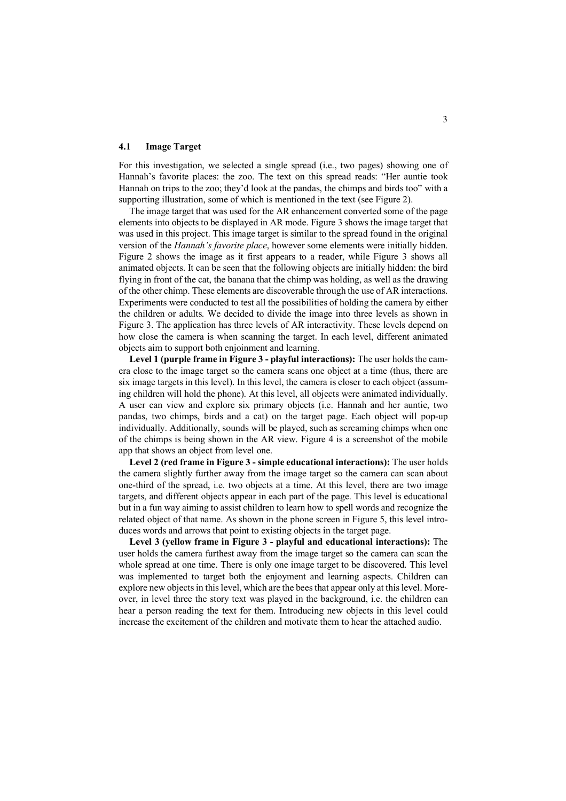### **4.1 Image Target**

For this investigation, we selected a single spread (i.e., two pages) showing one of Hannah's favorite places: the zoo. The text on this spread reads: "Her auntie took Hannah on trips to the zoo; they'd look at the pandas, the chimps and birds too" with a supporting illustration, some of which is mentioned in the text (see Figure 2).

The image target that was used for the AR enhancement converted some of the page elements into objects to be displayed in AR mode. Figure 3 shows the image target that was used in this project. This image target is similar to the spread found in the original version of the *Hannah's favorite place*, however some elements were initially hidden. Figure 2 shows the image as it first appears to a reader, while Figure 3 shows all animated objects. It can be seen that the following objects are initially hidden: the bird flying in front of the cat, the banana that the chimp was holding, as well as the drawing of the other chimp. These elements are discoverable through the use of AR interactions. Experiments were conducted to test all the possibilities of holding the camera by either the children or adults. We decided to divide the image into three levels as shown in Figure 3. The application has three levels of AR interactivity. These levels depend on how close the camera is when scanning the target. In each level, different animated objects aim to support both enjoinment and learning.

Level 1 (purple frame in Figure 3 - playful interactions): The user holds the camera close to the image target so the camera scans one object at a time (thus, there are six image targets in this level). In this level, the camera is closer to each object (assuming children will hold the phone). At this level, all objects were animated individually. A user can view and explore six primary objects (i.e. Hannah and her auntie, two pandas, two chimps, birds and a cat) on the target page. Each object will pop-up individually. Additionally, sounds will be played, such as screaming chimps when one of the chimps is being shown in the AR view. Figure 4 is a screenshot of the mobile app that shows an object from level one.

**Level 2 (red frame in Figure 3 - simple educational interactions):** The user holds the camera slightly further away from the image target so the camera can scan about one-third of the spread, i.e. two objects at a time. At this level, there are two image targets, and different objects appear in each part of the page. This level is educational but in a fun way aiming to assist children to learn how to spell words and recognize the related object of that name. As shown in the phone screen in Figure 5, this level introduces words and arrows that point to existing objects in the target page.

**Level 3 (yellow frame in Figure 3 - playful and educational interactions):** The user holds the camera furthest away from the image target so the camera can scan the whole spread at one time. There is only one image target to be discovered. This level was implemented to target both the enjoyment and learning aspects. Children can explore new objects in this level, which are the bees that appear only at this level. Moreover, in level three the story text was played in the background, i.e. the children can hear a person reading the text for them. Introducing new objects in this level could increase the excitement of the children and motivate them to hear the attached audio.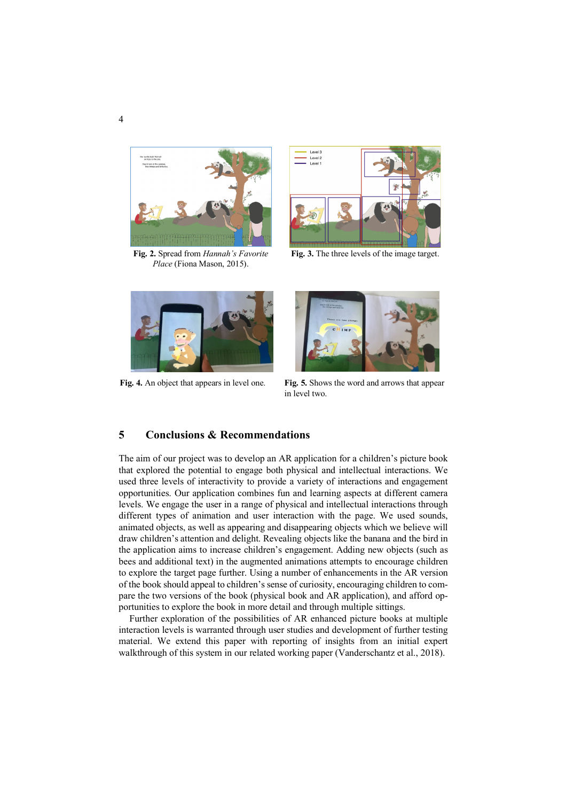

**Fig. 2.** Spread from *Hannah's Favorite Place* (Fiona Mason, 2015).



**Fig. 3.** The three levels of the image target.





**Fig. 4.** An object that appears in level one. **Fig. 5.** Shows the word and arrows that appear in level two.

# **5 Conclusions & Recommendations**

The aim of our project was to develop an AR application for a children's picture book that explored the potential to engage both physical and intellectual interactions. We used three levels of interactivity to provide a variety of interactions and engagement opportunities. Our application combines fun and learning aspects at different camera levels. We engage the user in a range of physical and intellectual interactions through different types of animation and user interaction with the page. We used sounds, animated objects, as well as appearing and disappearing objects which we believe will draw children's attention and delight. Revealing objects like the banana and the bird in the application aims to increase children's engagement. Adding new objects (such as bees and additional text) in the augmented animations attempts to encourage children to explore the target page further. Using a number of enhancements in the AR version of the book should appeal to children's sense of curiosity, encouraging children to compare the two versions of the book (physical book and AR application), and afford opportunities to explore the book in more detail and through multiple sittings.

Further exploration of the possibilities of AR enhanced picture books at multiple interaction levels is warranted through user studies and development of further testing material. We extend this paper with reporting of insights from an initial expert walkthrough of this system in our related working paper (Vanderschantz et al., 2018).